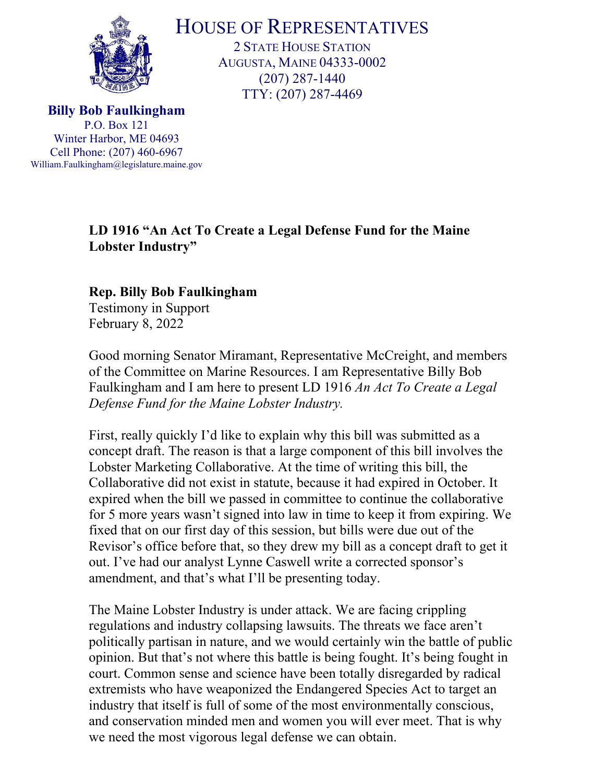

HOUSE OF REPRESENTATIVES

2 STATE HOUSE STATION AUGUSTA, MAINE 04333-0002 (207) 287-1440 TTY: (207) 287-4469

**Billy Bob Faulkingham** P.O. Box 121 Winter Harbor, ME 04693 Cell Phone: (207) 460-6967 William.Faulkingham@legislature.maine.gov

## **LD 1916 "An Act To Create a Legal Defense Fund for the Maine Lobster Industry"**

## **Rep. Billy Bob Faulkingham**

Testimony in Support February 8, 2022

Good morning Senator Miramant, Representative McCreight, and members of the Committee on Marine Resources. I am Representative Billy Bob Faulkingham and I am here to present LD 1916 *An Act To Create a Legal Defense Fund for the Maine Lobster Industry.* 

First, really quickly I'd like to explain why this bill was submitted as a concept draft. The reason is that a large component of this bill involves the Lobster Marketing Collaborative. At the time of writing this bill, the Collaborative did not exist in statute, because it had expired in October. It expired when the bill we passed in committee to continue the collaborative for 5 more years wasn't signed into law in time to keep it from expiring. We fixed that on our first day of this session, but bills were due out of the Revisor's office before that, so they drew my bill as a concept draft to get it out. I've had our analyst Lynne Caswell write a corrected sponsor's amendment, and that's what I'll be presenting today.

The Maine Lobster Industry is under attack. We are facing crippling regulations and industry collapsing lawsuits. The threats we face aren't politically partisan in nature, and we would certainly win the battle of public opinion. But that's not where this battle is being fought. It's being fought in court. Common sense and science have been totally disregarded by radical extremists who have weaponized the Endangered Species Act to target an industry that itself is full of some of the most environmentally conscious, and conservation minded men and women you will ever meet. That is why we need the most vigorous legal defense we can obtain.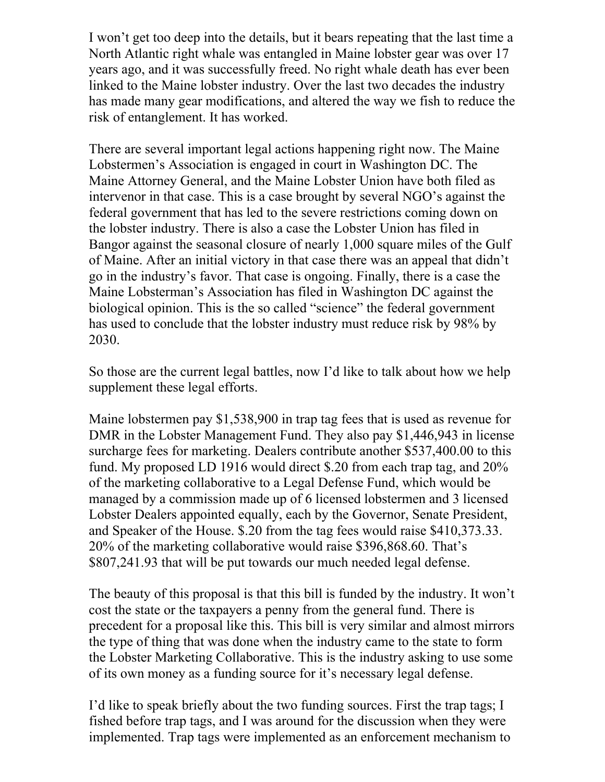I won't get too deep into the details, but it bears repeating that the last time a North Atlantic right whale was entangled in Maine lobster gear was over 17 years ago, and it was successfully freed. No right whale death has ever been linked to the Maine lobster industry. Over the last two decades the industry has made many gear modifications, and altered the way we fish to reduce the risk of entanglement. It has worked.

There are several important legal actions happening right now. The Maine Lobstermen's Association is engaged in court in Washington DC. The Maine Attorney General, and the Maine Lobster Union have both filed as intervenor in that case. This is a case brought by several NGO's against the federal government that has led to the severe restrictions coming down on the lobster industry. There is also a case the Lobster Union has filed in Bangor against the seasonal closure of nearly 1,000 square miles of the Gulf of Maine. After an initial victory in that case there was an appeal that didn't go in the industry's favor. That case is ongoing. Finally, there is a case the Maine Lobsterman's Association has filed in Washington DC against the biological opinion. This is the so called "science" the federal government has used to conclude that the lobster industry must reduce risk by 98% by 2030.

So those are the current legal battles, now I'd like to talk about how we help supplement these legal efforts.

Maine lobstermen pay \$1,538,900 in trap tag fees that is used as revenue for DMR in the Lobster Management Fund. They also pay \$1,446,943 in license surcharge fees for marketing. Dealers contribute another \$537,400.00 to this fund. My proposed LD 1916 would direct \$.20 from each trap tag, and 20% of the marketing collaborative to a Legal Defense Fund, which would be managed by a commission made up of 6 licensed lobstermen and 3 licensed Lobster Dealers appointed equally, each by the Governor, Senate President, and Speaker of the House. \$.20 from the tag fees would raise \$410,373.33. 20% of the marketing collaborative would raise \$396,868.60. That's \$807,241.93 that will be put towards our much needed legal defense.

The beauty of this proposal is that this bill is funded by the industry. It won't cost the state or the taxpayers a penny from the general fund. There is precedent for a proposal like this. This bill is very similar and almost mirrors the type of thing that was done when the industry came to the state to form the Lobster Marketing Collaborative. This is the industry asking to use some of its own money as a funding source for it's necessary legal defense.

I'd like to speak briefly about the two funding sources. First the trap tags; I fished before trap tags, and I was around for the discussion when they were implemented. Trap tags were implemented as an enforcement mechanism to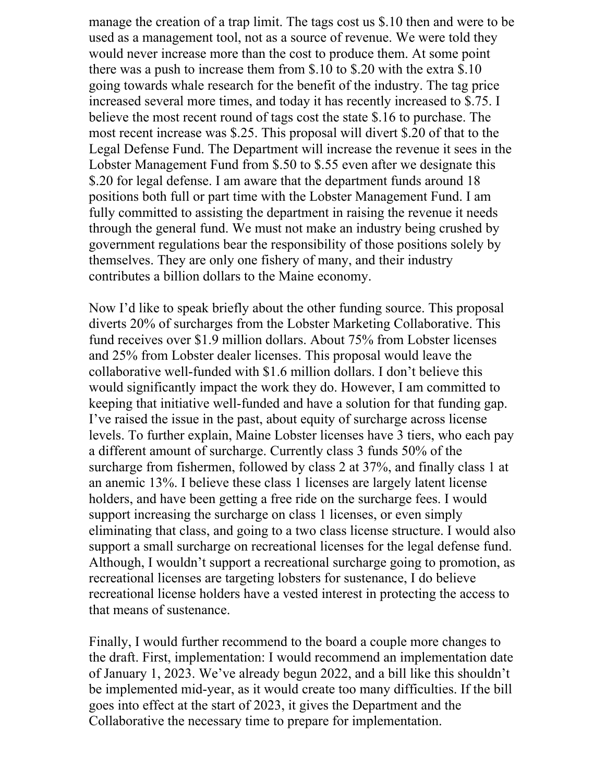manage the creation of a trap limit. The tags cost us \$.10 then and were to be used as a management tool, not as a source of revenue. We were told they would never increase more than the cost to produce them. At some point there was a push to increase them from \$.10 to \$.20 with the extra \$.10 going towards whale research for the benefit of the industry. The tag price increased several more times, and today it has recently increased to \$.75. I believe the most recent round of tags cost the state \$.16 to purchase. The most recent increase was \$.25. This proposal will divert \$.20 of that to the Legal Defense Fund. The Department will increase the revenue it sees in the Lobster Management Fund from \$.50 to \$.55 even after we designate this \$.20 for legal defense. I am aware that the department funds around 18 positions both full or part time with the Lobster Management Fund. I am fully committed to assisting the department in raising the revenue it needs through the general fund. We must not make an industry being crushed by government regulations bear the responsibility of those positions solely by themselves. They are only one fishery of many, and their industry contributes a billion dollars to the Maine economy.

Now I'd like to speak briefly about the other funding source. This proposal diverts 20% of surcharges from the Lobster Marketing Collaborative. This fund receives over \$1.9 million dollars. About 75% from Lobster licenses and 25% from Lobster dealer licenses. This proposal would leave the collaborative well-funded with \$1.6 million dollars. I don't believe this would significantly impact the work they do. However, I am committed to keeping that initiative well-funded and have a solution for that funding gap. I've raised the issue in the past, about equity of surcharge across license levels. To further explain, Maine Lobster licenses have 3 tiers, who each pay a different amount of surcharge. Currently class 3 funds 50% of the surcharge from fishermen, followed by class 2 at 37%, and finally class 1 at an anemic 13%. I believe these class 1 licenses are largely latent license holders, and have been getting a free ride on the surcharge fees. I would support increasing the surcharge on class 1 licenses, or even simply eliminating that class, and going to a two class license structure. I would also support a small surcharge on recreational licenses for the legal defense fund. Although, I wouldn't support a recreational surcharge going to promotion, as recreational licenses are targeting lobsters for sustenance, I do believe recreational license holders have a vested interest in protecting the access to that means of sustenance.

Finally, I would further recommend to the board a couple more changes to the draft. First, implementation: I would recommend an implementation date of January 1, 2023. We've already begun 2022, and a bill like this shouldn't be implemented mid-year, as it would create too many difficulties. If the bill goes into effect at the start of 2023, it gives the Department and the Collaborative the necessary time to prepare for implementation.